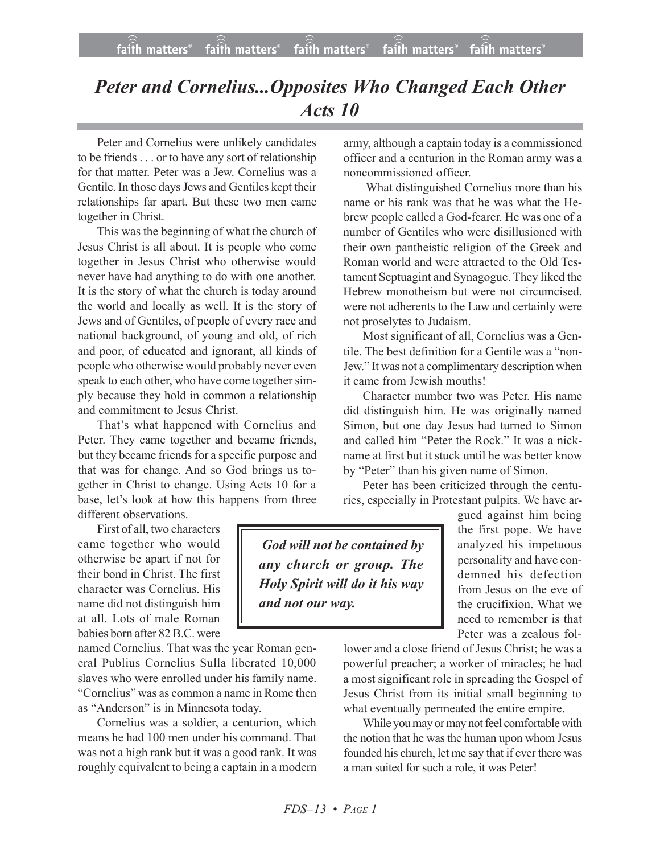## *Peter and Cornelius...Opposites Who Changed Each Other Acts 10*

Peter and Cornelius were unlikely candidates to be friends . . . or to have any sort of relationship for that matter. Peter was a Jew. Cornelius was a Gentile. In those days Jews and Gentiles kept their relationships far apart. But these two men came together in Christ.

This was the beginning of what the church of Jesus Christ is all about. It is people who come together in Jesus Christ who otherwise would never have had anything to do with one another. It is the story of what the church is today around the world and locally as well. It is the story of Jews and of Gentiles, of people of every race and national background, of young and old, of rich and poor, of educated and ignorant, all kinds of people who otherwise would probably never even speak to each other, who have come together simply because they hold in common a relationship and commitment to Jesus Christ.

That's what happened with Cornelius and Peter. They came together and became friends, but they became friends for a specific purpose and that was for change. And so God brings us together in Christ to change. Using Acts 10 for a base, let's look at how this happens from three different observations.

First of all, two characters

came together who would otherwise be apart if not for their bond in Christ. The first character was Cornelius. His name did not distinguish him at all. Lots of male Roman babies born after 82B.C. were

named Cornelius. That was the year Roman general Publius Cornelius Sulla liberated 10,000 slaves who were enrolled under his family name. "Cornelius" was as common a name in Rome then as "Anderson" is in Minnesota today.

Cornelius was a soldier, a centurion, which means he had 100 men under his command. That was not a high rank but it was a good rank. It was roughly equivalent to being a captain in a modern army, although a captain today is a commissioned officer and a centurion in the Roman army was a noncommissioned officer.

 What distinguished Cornelius more than his name or his rank was that he was what the Hebrew people called a God-fearer. He was one of a number of Gentiles who were disillusioned with their own pantheistic religion of the Greek and Roman world and were attracted to the Old Testament Septuagint and Synagogue. They liked the Hebrew monotheism but were not circumcised, were not adherents to the Law and certainly were not proselytes to Judaism.

Most significant of all, Cornelius was a Gentile. The best definition for a Gentile was a "non-Jew." It was not a complimentary description when it came from Jewish mouths!

Character number two was Peter. His name did distinguish him. He was originally named Simon, but one day Jesus had turned to Simon and called him "Peter the Rock." It was a nickname at first but it stuck until he was better know by "Peter" than his given name of Simon.

Peter has been criticized through the centuries, especially in Protestant pulpits. We have ar-

 *God will not be contained by any church or group. The Holy Spirit will do it his way and not our way.*

gued against him being the first pope. We have analyzed his impetuous personality and have condemned his defection from Jesus on the eve of the crucifixion. What we need to remember is that Peter was a zealous fol-

lower and a close friend of Jesus Christ; he was a powerful preacher; a worker of miracles; he had a most significant role in spreading the Gospel of Jesus Christ from its initial small beginning to what eventually permeated the entire empire.

While you may or may not feel comfortable with the notion that he was the human upon whom Jesus founded his church, let me say that if ever there was a man suited for such a role, it was Peter!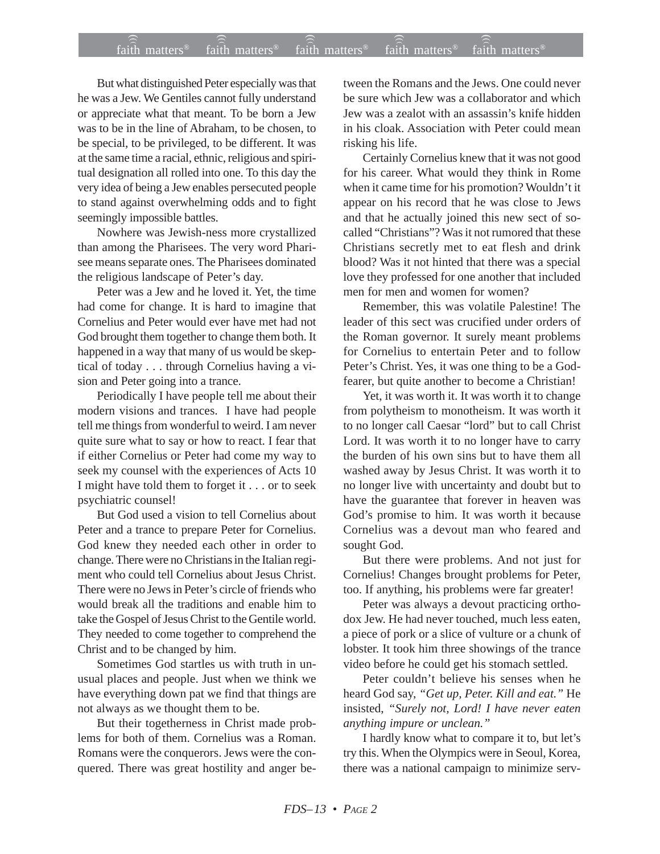## $f$ aith matters® staith matters® staith matters® staith matters® staith matters® faith matters<sup>®</sup> faith matters<sup>®</sup>  $\widehat{f}$ ) faith matters<sup>®</sup>

But what distinguished Peter especially was that he was a Jew. We Gentiles cannot fully understand or appreciate what that meant. To be born a Jew was to be in the line of Abraham, to be chosen, to be special, to be privileged, to be different. It was at the same time a racial, ethnic, religious and spiritual designation all rolled into one. To this day the very idea of being a Jew enables persecuted people to stand against overwhelming odds and to fight seemingly impossible battles.

Nowhere was Jewish-ness more crystallized than among the Pharisees. The very word Pharisee means separate ones. The Pharisees dominated the religious landscape of Peter's day.

Peter was a Jew and he loved it. Yet, the time had come for change. It is hard to imagine that Cornelius and Peter would ever have met had not God brought them together to change them both. It happened in a way that many of us would be skeptical of today . . . through Cornelius having a vision and Peter going into a trance.

Periodically I have people tell me about their modern visions and trances. I have had people tell me things from wonderful to weird. I am never quite sure what to say or how to react. I fear that if either Cornelius or Peter had come my way to seek my counsel with the experiences of Acts 10 I might have told them to forget it . . . or to seek psychiatric counsel!

But God used a vision to tell Cornelius about Peter and a trance to prepare Peter for Cornelius. God knew they needed each other in order to change. There were no Christians in the Italian regiment who could tell Cornelius about Jesus Christ. There were no Jews in Peter's circle of friends who would break all the traditions and enable him to take the Gospel of Jesus Christ to the Gentile world. They needed to come together to comprehend the Christ and to be changed by him.

Sometimes God startles us with truth in unusual places and people. Just when we think we have everything down pat we find that things are not always as we thought them to be.

But their togetherness in Christ made problems for both of them. Cornelius was a Roman. Romans were the conquerors. Jews were the conquered. There was great hostility and anger between the Romans and the Jews. One could never be sure which Jew was a collaborator and which Jew was a zealot with an assassin's knife hidden in his cloak. Association with Peter could mean risking his life.

Certainly Cornelius knew that it was not good for his career. What would they think in Rome when it came time for his promotion? Wouldn't it appear on his record that he was close to Jews and that he actually joined this new sect of socalled "Christians"? Was it not rumored that these Christians secretly met to eat flesh and drink blood? Was it not hinted that there was a special love they professed for one another that included men for men and women for women?

Remember, this was volatile Palestine! The leader of this sect was crucified under orders of the Roman governor. It surely meant problems for Cornelius to entertain Peter and to follow Peter's Christ. Yes, it was one thing to be a Godfearer, but quite another to become a Christian!

Yet, it was worth it. It was worth it to change from polytheism to monotheism. It was worth it to no longer call Caesar "lord" but to call Christ Lord. It was worth it to no longer have to carry the burden of his own sins but to have them all washed away by Jesus Christ. It was worth it to no longer live with uncertainty and doubt but to have the guarantee that forever in heaven was God's promise to him. It was worth it because Cornelius was a devout man who feared and sought God.

But there were problems. And not just for Cornelius! Changes brought problems for Peter, too. If anything, his problems were far greater!

Peter was always a devout practicing orthodox Jew. He had never touched, much less eaten, a piece of pork or a slice of vulture or a chunk of lobster. It took him three showings of the trance video before he could get his stomach settled.

Peter couldn't believe his senses when he heard God say, *"Get up, Peter. Kill and eat."* He insisted, *"Surely not, Lord! I have never eaten anything impure or unclean."*

I hardly know what to compare it to, but let's try this. When the Olympics were in Seoul, Korea, there was a national campaign to minimize serv-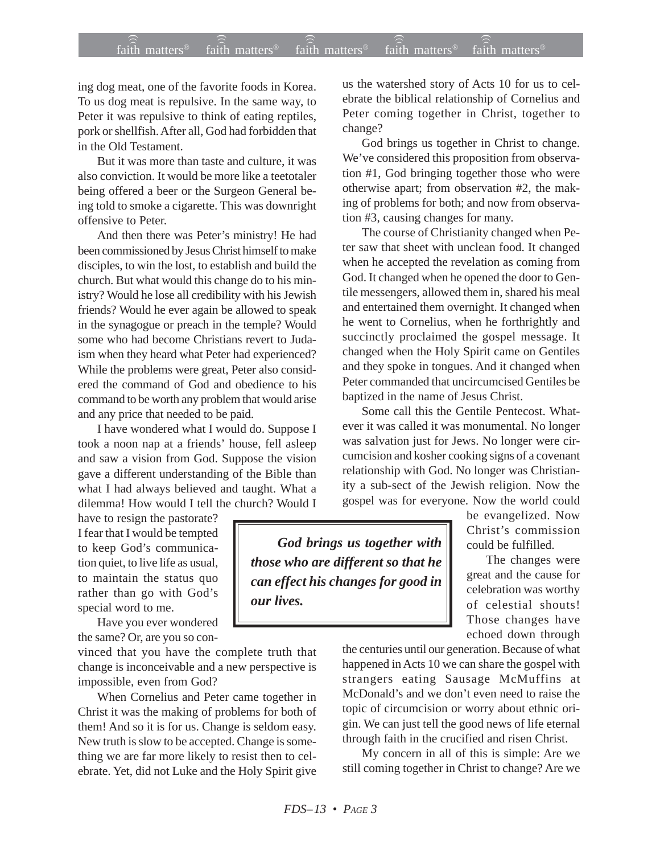## $f$ aith matters® staith matters® staith matters® staith matters® staith matters® faith matters<sup>®</sup> ))) )))

ing dog meat, one of the favorite foods in Korea. To us dog meat is repulsive. In the same way, to Peter it was repulsive to think of eating reptiles, pork or shellfish. After all, God had forbidden that in the Old Testament.

But it was more than taste and culture, it was also conviction. It would be more like a teetotaler being offered a beer or the Surgeon General being told to smoke a cigarette. This was downright offensive to Peter.

And then there was Peter's ministry! He had been commissioned by Jesus Christ himself to make disciples, to win the lost, to establish and build the church. But what would this change do to his ministry? Would he lose all credibility with his Jewish friends? Would he ever again be allowed to speak in the synagogue or preach in the temple? Would some who had become Christians revert to Judaism when they heard what Peter had experienced? While the problems were great, Peter also considered the command of God and obedience to his command to be worth any problem that would arise and any price that needed to be paid.

I have wondered what I would do. Suppose I took a noon nap at a friends' house, fell asleep and saw a vision from God. Suppose the vision gave a different understanding of the Bible than what I had always believed and taught. What a dilemma! How would I tell the church? Would I

have to resign the pastorate? I fear that I would be tempted to keep God's communication quiet, to live life as usual, to maintain the status quo rather than go with God's special word to me.

Have you ever wondered the same? Or, are you so con-

vinced that you have the complete truth that change is inconceivable and a new perspective is impossible, even from God?

When Cornelius and Peter came together in Christ it was the making of problems for both of them! And so it is for us. Change is seldom easy. New truth is slow to be accepted. Change is something we are far more likely to resist then to celebrate. Yet, did not Luke and the Holy Spirit give us the watershed story of Acts 10 for us to celebrate the biblical relationship of Cornelius and Peter coming together in Christ, together to change?

God brings us together in Christ to change. We've considered this proposition from observation #1, God bringing together those who were otherwise apart; from observation #2, the making of problems for both; and now from observation #3, causing changes for many.

The course of Christianity changed when Peter saw that sheet with unclean food. It changed when he accepted the revelation as coming from God. It changed when he opened the door to Gentile messengers, allowed them in, shared his meal and entertained them overnight. It changed when he went to Cornelius, when he forthrightly and succinctly proclaimed the gospel message. It changed when the Holy Spirit came on Gentiles and they spoke in tongues. And it changed when Peter commanded that uncircumcised Gentiles be baptized in the name of Jesus Christ.

Some call this the Gentile Pentecost. Whatever it was called it was monumental. No longer was salvation just for Jews. No longer were circumcision and kosher cooking signs of a covenant relationship with God. No longer was Christianity a sub-sect of the Jewish religion. Now the gospel was for everyone. Now the world could

*God brings us together with those who are different so that he can effect his changes for good in our lives.*

be evangelized. Now Christ's commission could be fulfilled.

The changes were great and the cause for celebration was worthy of celestial shouts! Those changes have echoed down through

the centuries until our generation. Because of what happened in Acts 10 we can share the gospel with strangers eating Sausage McMuffins at McDonald's and we don't even need to raise the topic of circumcision or worry about ethnic origin. We can just tell the good news of life eternal through faith in the crucified and risen Christ.

My concern in all of this is simple: Are we still coming together in Christ to change? Are we